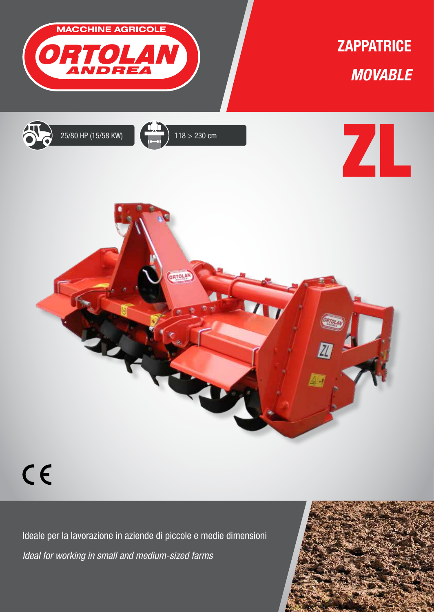

## $C<sub>f</sub>$

Ideale per la lavorazione in aziende di piccole e medie dimensioni *Ideal for working in small and medium-sized farms*